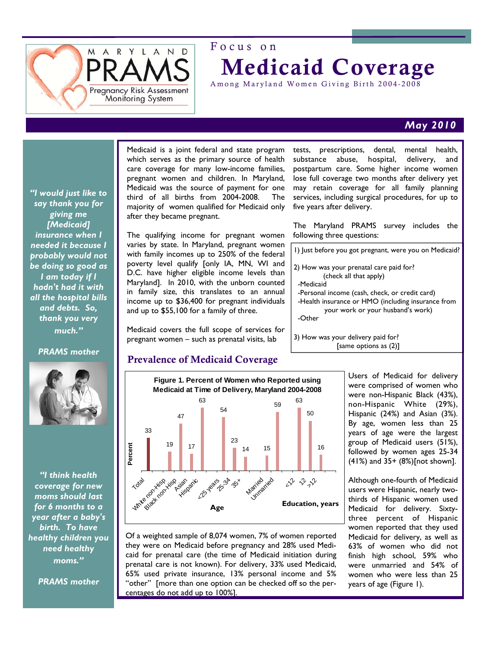

# Focus on Medicaid Coverage

Among Maryland Women Giving Birth 2004-2008

# *May 2010*

*"I would just like to say thank you for giving me [Medicaid] insurance when I needed it because I probably would not be doing so good as I am today if I hadn't had it with all the hospital bills and debts. So, thank you very much."* 

### *PRAMS mother*



*"I think health coverage for new moms should last for 6 months to a year after a baby's birth. To have healthy children you need healthy moms."* 

*PRAMS mother* 

Medicaid is a joint federal and state program which serves as the primary source of health care coverage for many low-income families, pregnant women and children. In Maryland, Medicaid was the source of payment for one third of all births from 2004-2008. The majority of women qualified for Medicaid only after they became pregnant.

The qualifying income for pregnant women varies by state. In Maryland, pregnant women with family incomes up to 250% of the federal poverty level qualify [only IA, MN, WI and D.C. have higher eligible income levels than Maryland]. In 2010, with the unborn counted in family size, this translates to an annual income up to \$36,400 for pregnant individuals and up to \$55,100 for a family of three.

Medicaid covers the full scope of services for pregnant women – such as prenatal visits, lab

## Prevalence of Medicaid Coverage



Of a weighted sample of 8,074 women, 7% of women reported they were on Medicaid before pregnancy and 28% used Medicaid for prenatal care (the time of Medicaid initiation during prenatal care is not known). For delivery, 33% used Medicaid, 65% used private insurance, 13% personal income and 5% "other" [more than one option can be checked off so the percentages do not add up to 100%].

tests, prescriptions, dental, mental health, substance abuse, hospital, delivery, and postpartum care. Some higher income women lose full coverage two months after delivery yet may retain coverage for all family planning services, including surgical procedures, for up to five years after delivery.

The Maryland PRAMS survey includes the following three questions:

1) Just before you got pregnant, were you on Medicaid?

- 2) How was your prenatal care paid for? (check all that apply)
- -Medicaid
- -Personal income (cash, check, or credit card)
- -Health insurance or HMO (including insurance from your work or your husband's work)

-Other

3) How was your delivery paid for? [same options as (2)]

> Users of Medicaid for delivery were comprised of women who were non-Hispanic Black (43%), non-Hispanic White (29%), Hispanic (24%) and Asian (3%). By age, women less than 25 years of age were the largest group of Medicaid users (51%), followed by women ages 25-34 (41%) and 35+ (8%)[not shown].

> Although one-fourth of Medicaid users were Hispanic, nearly twothirds of Hispanic women used Medicaid for delivery. Sixtythree percent of Hispanic women reported that they used Medicaid for delivery, as well as 63% of women who did not finish high school, 59% who were unmarried and 54% of women who were less than 25 years of age (Figure 1).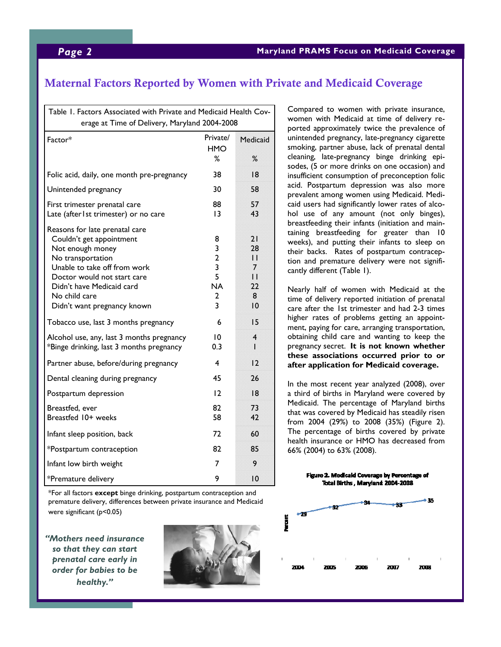# Maternal Factors Reported by Women with Private and Medicaid Coverage

| Table 1. Factors Associated with Private and Medicaid Health Cov-<br>erage at Time of Delivery, Maryland 2004-2008                                                                                                                              |                                                           |                                                                            |
|-------------------------------------------------------------------------------------------------------------------------------------------------------------------------------------------------------------------------------------------------|-----------------------------------------------------------|----------------------------------------------------------------------------|
| Factor*                                                                                                                                                                                                                                         | Private/<br><b>HMO</b><br>℅                               | Medicaid<br>%                                                              |
| Folic acid, daily, one month pre-pregnancy                                                                                                                                                                                                      | 38                                                        | 18                                                                         |
| Unintended pregnancy                                                                                                                                                                                                                            | 30                                                        | 58                                                                         |
| First trimester prenatal care<br>Late (after Ist trimester) or no care                                                                                                                                                                          | 88<br>13                                                  | 57<br>43                                                                   |
| Reasons for late prenatal care<br>Couldn't get appointment<br>Not enough money<br>No transportation<br>Unable to take off from work<br>Doctor would not start care<br>Didn't have Medicaid card<br>No child care<br>Didn't want pregnancy known | 8<br>3<br>$\overline{2}$<br>3<br>5<br><b>NA</b><br>2<br>3 | 21<br>28<br>$\mathsf{I}$<br>7<br>$\mathbf{1}$<br>22<br>8<br>$\overline{0}$ |
| Tobacco use, last 3 months pregnancy                                                                                                                                                                                                            | 6                                                         | 15                                                                         |
| Alcohol use, any, last 3 months pregnancy<br>*Binge drinking, last 3 months pregnancy                                                                                                                                                           | 10<br>0.3                                                 | 4<br>۰                                                                     |
| Partner abuse, before/during pregnancy                                                                                                                                                                                                          | 4                                                         | 12                                                                         |
| Dental cleaning during pregnancy                                                                                                                                                                                                                | 45                                                        | 26                                                                         |
| Postpartum depression                                                                                                                                                                                                                           | 12                                                        | 8                                                                          |
| Breastfed, ever<br>Breastfed 10+ weeks                                                                                                                                                                                                          | 82<br>58                                                  | 73<br>42                                                                   |
| Infant sleep position, back                                                                                                                                                                                                                     | 72                                                        | 60                                                                         |
| *Postpartum contraception                                                                                                                                                                                                                       | 82                                                        | 85                                                                         |
| Infant low birth weight                                                                                                                                                                                                                         | 7                                                         | 9                                                                          |
| *Premature delivery                                                                                                                                                                                                                             | 9                                                         | 0                                                                          |

\*For all factors **except** binge drinking, postpartum contraception and premature delivery, differences between private insurance and Medicaid were significant (p<0.05)

*"Mothers need insurance so that they can start prenatal care early in order for babies to be healthy."* 



Compared to women with private insurance, women with Medicaid at time of delivery reported approximately twice the prevalence of unintended pregnancy, late-pregnancy cigarette smoking, partner abuse, lack of prenatal dental cleaning, late-pregnancy binge drinking episodes, (5 or more drinks on one occasion) and insufficient consumption of preconception folic acid. Postpartum depression was also more prevalent among women using Medicaid. Medicaid users had significantly lower rates of alcohol use of any amount (not only binges), breastfeeding their infants (initiation and maintaining breastfeeding for greater than 10 weeks), and putting their infants to sleep on their backs. Rates of postpartum contraception and premature delivery were not significantly different (Table 1).

Nearly half of women with Medicaid at the time of delivery reported initiation of prenatal care after the 1st trimester and had 2-3 times higher rates of problems getting an appointment, paying for care, arranging transportation, obtaining child care and wanting to keep the pregnancy secret. **It is not known whether these associations occurred prior to or after application for Medicaid coverage.** 

In the most recent year analyzed (2008), over a third of births in Maryland were covered by Medicaid. The percentage of Maryland births that was covered by Medicaid has steadily risen from 2004 (29%) to 2008 (35%) (Figure 2). The percentage of births covered by private health insurance or HMO has decreased from 66% (2004) to 63% (2008).

> Figure 2. Medicald Coverage by Percentage of Total Births, Maryland 2004-2008

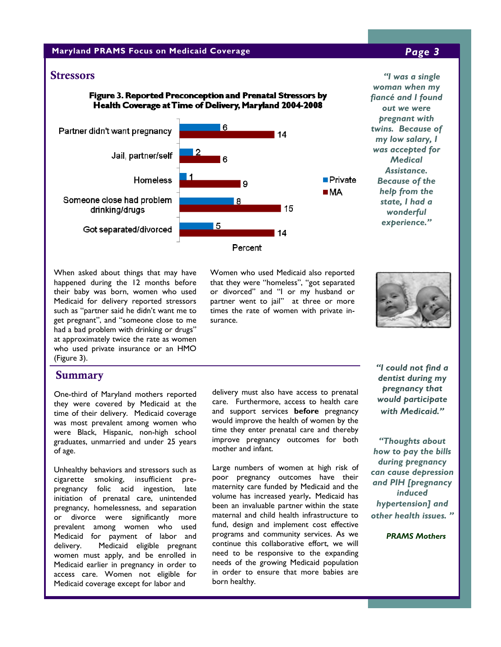### **Maryland PRAMS Focus on Medicaid Coverage** *Page 3*

### Figure 3. Reported Preconception and Prenatal Stressors by Health Coverage at Time of Delivery, Maryland 2004-2008



Stressors *"I was a single woman when my fiancé and I found out we were pregnant with twins. Because of my low salary, I was accepted for Medical Assistance. Because of the help from the state, I had a wonderful experience."* 

When asked about things that may have happened during the 12 months before their baby was born, women who used Medicaid for delivery reported stressors such as "partner said he didn't want me to get pregnant", and "someone close to me had a bad problem with drinking or drugs" at approximately twice the rate as women who used private insurance or an HMO (Figure 3).

### **Summary**

One-third of Maryland mothers reported they were covered by Medicaid at the time of their delivery. Medicaid coverage was most prevalent among women who were Black, Hispanic, non-high school graduates, unmarried and under 25 years of age.

Unhealthy behaviors and stressors such as cigarette smoking, insufficient prepregnancy folic acid ingestion, late initiation of prenatal care, unintended pregnancy, homelessness, and separation or divorce were significantly more prevalent among women who used Medicaid for payment of labor and delivery. Medicaid eligible pregnant women must apply, and be enrolled in Medicaid earlier in pregnancy in order to access care. Women not eligible for Medicaid coverage except for labor and

Women who used Medicaid also reported that they were "homeless", "got separated or divorced" and "I or my husband or partner went to jail" at three or more times the rate of women with private insurance.



delivery must also have access to prenatal care. Furthermore, access to health care and support services **before** pregnancy would improve the health of women by the time they enter prenatal care and thereby improve pregnancy outcomes for both mother and infant.

Large numbers of women at high risk of poor pregnancy outcomes have their maternity care funded by Medicaid and the volume has increased yearly**.** Medicaid has been an invaluable partner within the state maternal and child health infrastructure to fund, design and implement cost effective programs and community services. As we continue this collaborative effort, we will need to be responsive to the expanding needs of the growing Medicaid population in order to ensure that more babies are born healthy.

*"I could not find a dentist during my pregnancy that would participate with Medicaid."* 

*"Thoughts about how to pay the bills during pregnancy can cause depression and PIH [pregnancy induced hypertension] and other health issues. "* 

 *PRAMS Mothers*